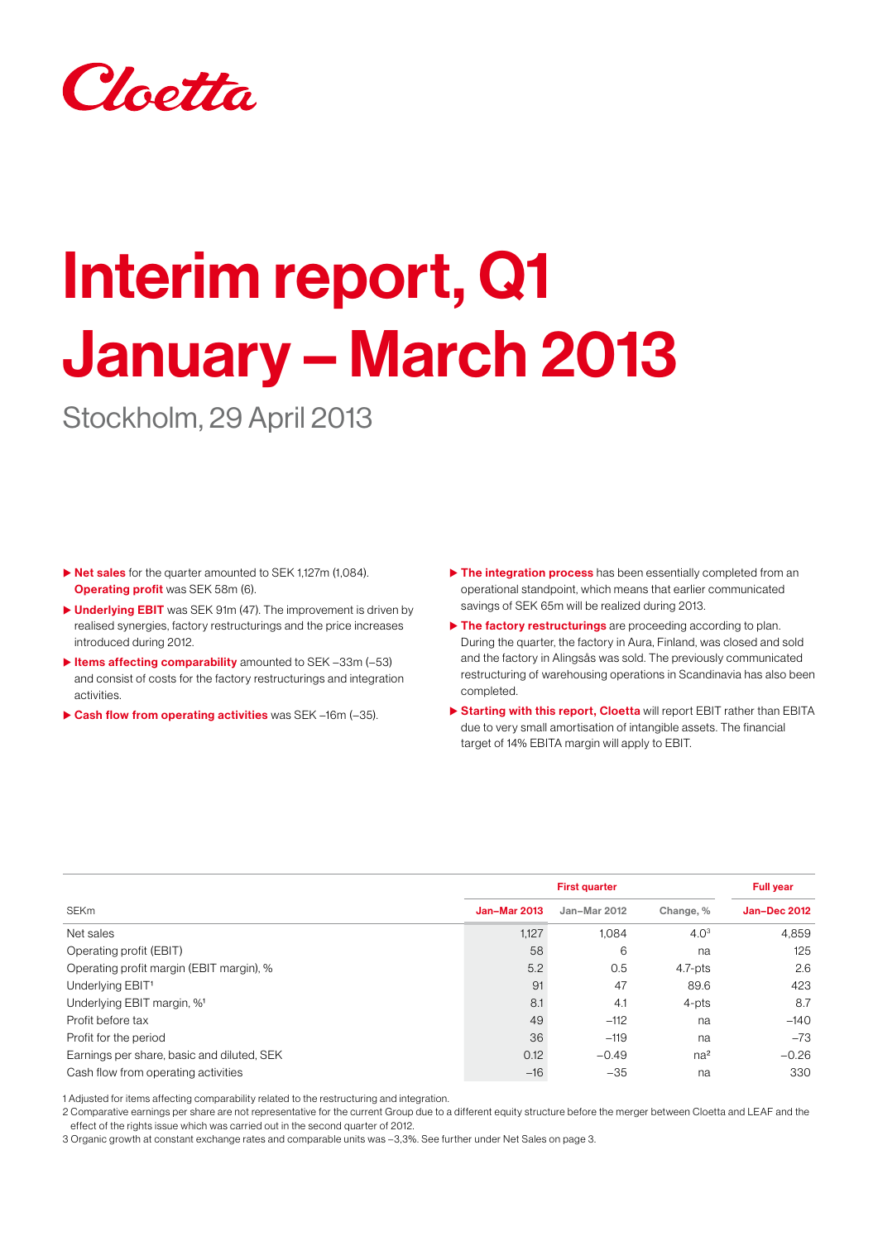

# Interim report, Q1 January – March 2013

Stockholm, 29 April 2013

- $\triangleright$  Net sales for the quarter amounted to SEK 1,127m (1,084). **Operating profit** was SEK 58m (6).
- ▶ Underlying EBIT was SEK 91m (47). The improvement is driven by realised synergies, factory restructurings and the price increases introduced during 2012.
- $\blacktriangleright$  Items affecting comparability amounted to SEK –33m (–53) and consist of costs for the factory restructurings and integration activities.
- $\triangleright$  Cash flow from operating activities was SEK –16m (–35).
- $\triangleright$  The integration process has been essentially completed from an operational standpoint, which means that earlier communicated savings of SEK 65m will be realized during 2013.
- $\blacktriangleright$  The factory restructurings are proceeding according to plan. During the quarter, the factory in Aura, Finland, was closed and sold and the factory in Alingsås was sold. The previously communicated restructuring of warehousing operations in Scandinavia has also been completed.
- ▶ Starting with this report, Cloetta will report EBIT rather than EBITA due to very small amortisation of intangible assets. The financial target of 14% EBITA margin will apply to EBIT.

|                                            |                     | <b>Full year</b> |                  |                     |
|--------------------------------------------|---------------------|------------------|------------------|---------------------|
| SEKm                                       | <b>Jan-Mar 2013</b> | Jan-Mar 2012     | Change, %        | <b>Jan-Dec 2012</b> |
| Net sales                                  | 1,127               | 1.084            | 4.0 <sup>3</sup> | 4,859               |
| Operating profit (EBIT)                    | 58                  | 6                | na               | 125                 |
| Operating profit margin (EBIT margin), %   | 5.2                 | 0.5              | $4.7-pts$        | 2.6                 |
| Underlying EBIT <sup>1</sup>               | 91                  | 47               | 89.6             | 423                 |
| Underlying EBIT margin, % <sup>1</sup>     | 8.1                 | 4.1              | $4$ -pts         | 8.7                 |
| Profit before tax                          | 49                  | $-112$           | na               | $-140$              |
| Profit for the period                      | 36                  | $-119$           | na               | $-73$               |
| Earnings per share, basic and diluted, SEK | 0.12                | $-0.49$          | na <sup>2</sup>  | $-0.26$             |
| Cash flow from operating activities        | $-16$               | $-35$            | na               | 330                 |

1 Adjusted for items affecting comparability related to the restructuring and integration.

2 Comparative earnings per share are not representative for the current Group due to a different equity structure before the merger between Cloetta and LEAF and the effect of the rights issue which was carried out in the second quarter of 2012.

3 Organic growth at constant exchange rates and comparable units was –3,3%. See further under Net Sales on page 3.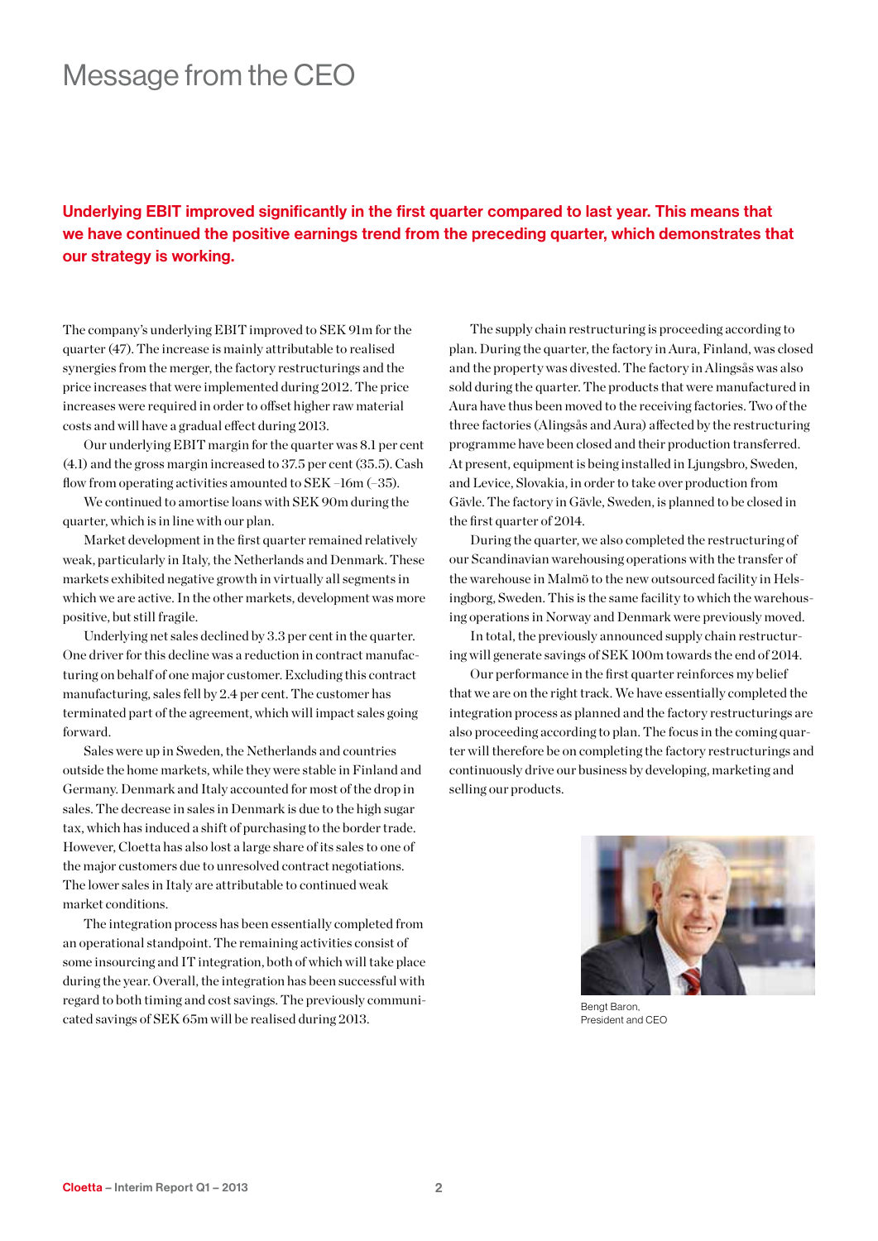### Message from the CEO

### Underlying EBIT improved significantly in the first quarter compared to last year. This means that we have continued the positive earnings trend from the preceding quarter, which demonstrates that our strategy is working.

The company's underlying EBIT improved to SEK 91m for the quarter (47). The increase is mainly attributable to realised synergies from the merger, the factory restructurings and the price increases that were implemented during 2012. The price increases were required in order to offset higher raw material costs and will have a gradual effect during 2013.

Our underlying EBIT margin for the quarter was 8.1 per cent (4.1) and the gross margin increased to 37.5 per cent (35.5). Cash flow from operating activities amounted to SEK –16m (–35).

We continued to amortise loans with SEK 90m during the quarter, which is in line with our plan.

Market development in the first quarter remained relatively weak, particularly in Italy, the Netherlands and Denmark. These markets exhibited negative growth in virtually all segments in which we are active. In the other markets, development was more positive, but still fragile.

Underlying net sales declined by 3.3 per cent in the quarter. One driver for this decline was a reduction in contract manufacturing on behalf of one major customer. Excluding this contract manufacturing, sales fell by 2.4 per cent. The customer has terminated part of the agreement, which will impact sales going forward.

Sales were up in Sweden, the Netherlands and countries outside the home markets, while they were stable in Finland and Germany. Denmark and Italy accounted for most of the drop in sales. The decrease in sales in Denmark is due to the high sugar tax, which has induced a shift of purchasing to the border trade. However, Cloetta has also lost a large share of its sales to one of the major customers due to unresolved contract negotiations. The lower sales in Italy are attributable to continued weak market conditions.

The integration process has been essentially completed from an operational standpoint. The remaining activities consist of some insourcing and IT integration, both of which will take place during the year. Overall, the integration has been successful with regard to both timing and cost savings. The previously communicated savings of SEK 65m will be realised during 2013.

The supply chain restructuring is proceeding according to plan. During the quarter, the factory in Aura, Finland, was closed and the property was divested. The factory in Alingsås was also sold during the quarter. The products that were manufactured in Aura have thus been moved to the receiving factories. Two of the three factories (Alingsås and Aura) affected by the restructuring programme have been closed and their production transferred. At present, equipment is being installed in Ljungsbro, Sweden, and Levice, Slovakia, in order to take over production from Gävle. The factory in Gävle, Sweden, is planned to be closed in the first quarter of 2014.

During the quarter, we also completed the restructuring of our Scandinavian warehousing operations with the transfer of the warehouse in Malmö to the new outsourced facility in Helsingborg, Sweden. This is the same facility to which the warehousing operations in Norway and Denmark were previously moved.

In total, the previously announced supply chain restructuring will generate savings of SEK 100m towards the end of 2014.

Our performance in the first quarter reinforces my belief that we are on the right track. We have essentially completed the integration process as planned and the factory restructurings are also proceeding according to plan. The focus in the coming quarter will therefore be on completing the factory restructurings and continuously drive our business by developing, marketing and selling our products.



Bengt Baron, President and CEO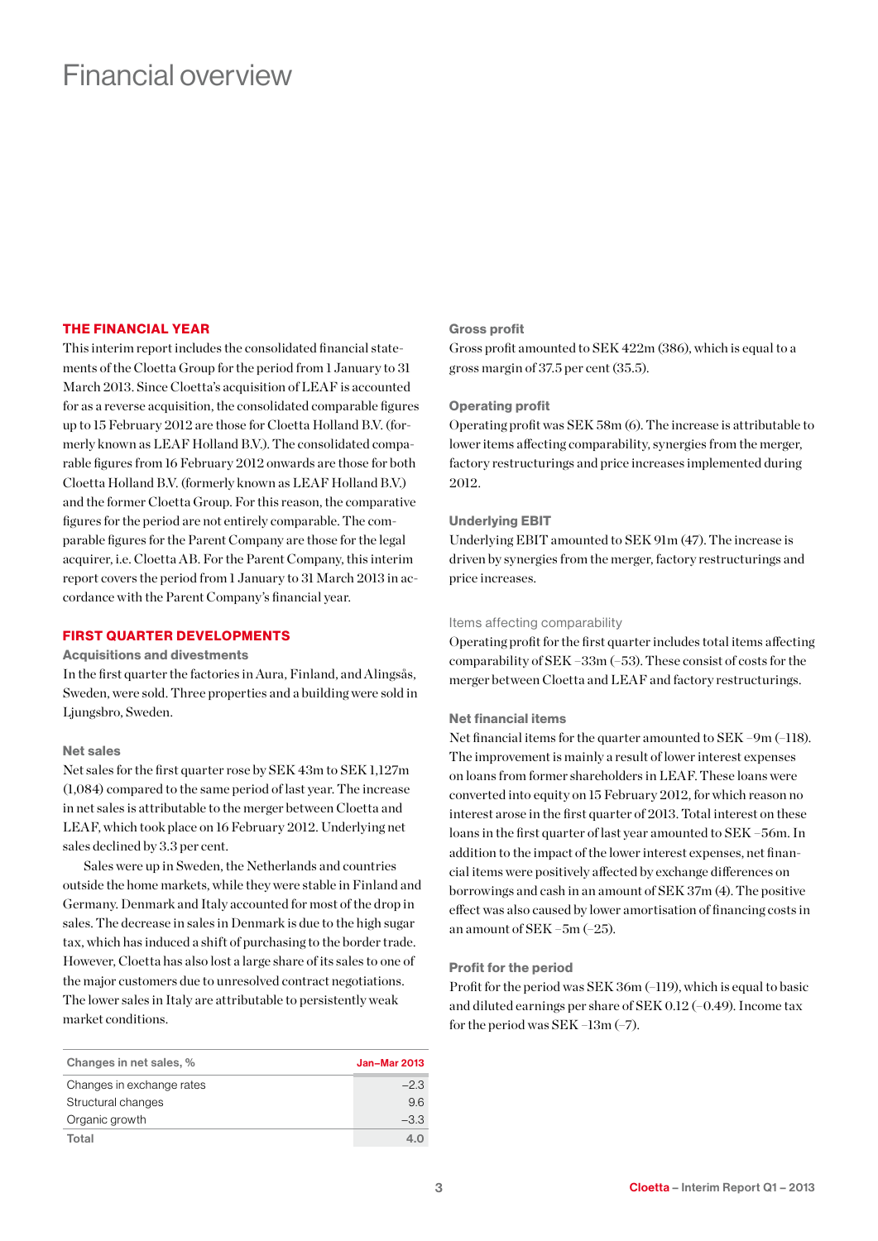### Financial overview

### THE FINANCIAL YEAR

This interim report includes the consolidated financial statements of the Cloetta Group for the period from 1 January to 31 March 2013. Since Cloetta's acquisition of LEAF is accounted for as a reverse acquisition, the consolidated comparable figures up to 15 February 2012 are those for Cloetta Holland B.V. (formerly known as LEAF Holland B.V.). The consolidated comparable figures from 16 February 2012 onwards are those for both Cloetta Holland B.V. (formerly known as LEAF Holland B.V.) and the former Cloetta Group. For this reason, the comparative figures for the period are not entirely comparable. The comparable figures for the Parent Company are those for the legal acquirer, i.e. Cloetta AB. For the Parent Company, this interim report covers the period from 1 January to 31 March 2013 in accordance with the Parent Company's financial year.

### FIRST QUARTER DEVELOPMENTS

#### Acquisitions and divestments

In the first quarter the factories in Aura, Finland, and Alingsås, Sweden, were sold. Three properties and a building were sold in Ljungsbro, Sweden.

#### Net sales

Net sales for the first quarter rose by SEK 43m to SEK 1,127m (1,084) compared to the same period of last year. The increase in net sales is attributable to the merger between Cloetta and LEAF, which took place on 16 February 2012. Underlying net sales declined by 3.3 per cent.

Sales were up in Sweden, the Netherlands and countries outside the home markets, while they were stable in Finland and Germany. Denmark and Italy accounted for most of the drop in sales. The decrease in sales in Denmark is due to the high sugar tax, which has induced a shift of purchasing to the border trade. However, Cloetta has also lost a large share of its sales to one of the major customers due to unresolved contract negotiations. The lower sales in Italy are attributable to persistently weak market conditions.

| Changes in net sales, %   | <b>Jan-Mar 2013</b> |
|---------------------------|---------------------|
| Changes in exchange rates | $-2.3$              |
| Structural changes        | 9.6                 |
| Organic growth            | $-3.3$              |
| Total                     | 4.0                 |

### Gross profit

Gross profit amounted to SEK 422m (386), which is equal to a gross margin of 37.5 per cent (35.5).

#### Operating profit

Operating profit was SEK 58m (6). The increase is attributable to lower items affecting comparability, synergies from the merger, factory restructurings and price increases implemented during 2012.

#### Underlying EBIT

Underlying EBIT amounted to SEK 91m (47). The increase is driven by synergies from the merger, factory restructurings and price increases.

#### Items affecting comparability

Operating profit for the first quarter includes total items affecting comparability of SEK –33m (–53). These consist of costs for the merger between Cloetta and LEAF and factory restructurings.

#### Net financial items

Net financial items for the quarter amounted to SEK –9m (–118). The improvement is mainly a result of lower interest expenses on loans from former shareholders in LEAF. These loans were converted into equity on 15 February 2012, for which reason no interest arose in the first quarter of 2013. Total interest on these loans in the first quarter of last year amounted to SEK –56m. In addition to the impact of the lower interest expenses, net financial items were positively affected by exchange differences on borrowings and cash in an amount of SEK 37m (4). The positive effect was also caused by lower amortisation of financing costs in an amount of SEK –5m (–25).

#### Profit for the period

Profit for the period was SEK 36m (–119), which is equal to basic and diluted earnings per share of SEK 0.12 (–0.49). Income tax for the period was SEK –13m (–7).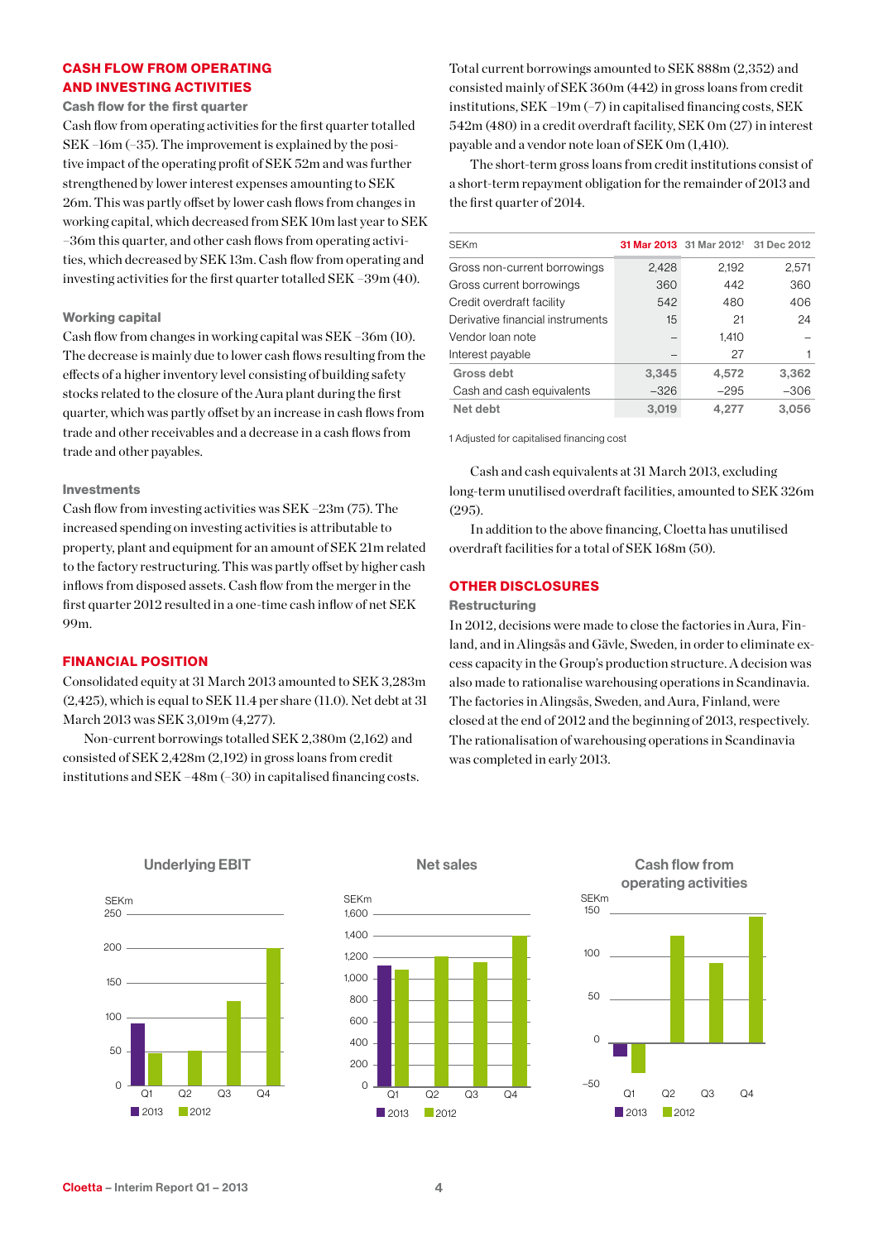### CASH FLOW FROM OPERATING AND INVESTING ACTIVITIES

Cash flow for the first quarter

Cash flow from operating activities for the first quarter totalled SEK –16m (–35). The improvement is explained by the positive impact of the operating profit of SEK 52m and was further strengthened by lower interest expenses amounting to SEK 26m. This was partly offset by lower cash flows from changes in working capital, which decreased from SEK 10m last year to SEK –36m this quarter, and other cash flows from operating activities, which decreased by SEK 13m. Cash flow from operating and investing activities for the first quarter totalled SEK –39m (40).

### Working capital

Cash flow from changes in working capital was SEK –36m (10). The decrease is mainly due to lower cash flows resulting from the effects of a higher inventory level consisting of building safety stocks related to the closure of the Aura plant during the first quarter, which was partly offset by an increase in cash flows from trade and other receivables and a decrease in a cash flows from trade and other payables.

### Investments

Cash flow from investing activities was SEK –23m (75). The increased spending on investing activities is attributable to property, plant and equipment for an amount of SEK 21m related to the factory restructuring. This was partly offset by higher cash inflows from disposed assets. Cash flow from the merger in the first quarter 2012 resulted in a one-time cash inflow of net SEK 99m.

### FINANCIAL POSITION

Consolidated equity at 31 March 2013 amounted to SEK 3,283m (2,425), which is equal to SEK 11.4 per share (11.0). Net debt at 31 March 2013 was SEK 3,019m (4,277).

Non-current borrowings totalled SEK 2,380m (2,162) and consisted of SEK 2,428m (2,192) in gross loans from credit institutions and SEK –48m (–30) in capitalised financing costs. Total current borrowings amounted to SEK 888m (2,352) and consisted mainly of SEK 360m (442) in gross loans from credit institutions, SEK –19m (–7) in capitalised financing costs, SEK 542m (480) in a credit overdraft facility, SEK 0m (27) in interest payable and a vendor note loan of SEK 0m (1,410).

The short-term gross loans from credit institutions consist of a short-term repayment obligation for the remainder of 2013 and the first quarter of 2014.

| <b>SEKm</b>                      |        | 31 Mar 2013 31 Mar 2012 <sup>1</sup> 31 Dec 2012 |        |
|----------------------------------|--------|--------------------------------------------------|--------|
| Gross non-current borrowings     | 2.428  | 2.192                                            | 2,571  |
| Gross current borrowings         | 360    | 442                                              | 360    |
| Credit overdraft facility        | 542    | 480                                              | 406    |
| Derivative financial instruments | 15     | 21                                               | 24     |
| Vendor Ioan note                 |        | 1,410                                            |        |
| Interest payable                 |        | 27                                               |        |
| Gross debt                       | 3,345  | 4,572                                            | 3,362  |
| Cash and cash equivalents        | $-326$ | $-295$                                           | $-306$ |
| Net debt                         | 3.019  | 4,277                                            | 3.056  |

1 Adjusted for capitalised financing cost

Cash and cash equivalents at 31 March 2013, excluding long-term unutilised overdraft facilities, amounted to SEK 326m (295).

In addition to the above financing, Cloetta has unutilised overdraft facilities for a total of SEK 168m (50).

### OTHER DISCLOSURES

#### **Restructuring**

In 2012, decisions were made to close the factories in Aura, Finland, and in Alingsås and Gävle, Sweden, in order to eliminate excess capacity in the Group's production structure. A decision was also made to rationalise warehousing operations in Scandinavia. The factories in Alingsås, Sweden, and Aura, Finland, were closed at the end of 2012 and the beginning of 2013, respectively. The rationalisation of warehousing operations in Scandinavia was completed in early 2013.



Underlying EBIT





Q1 Q2 Q3 Q4

**2013** 2012

–50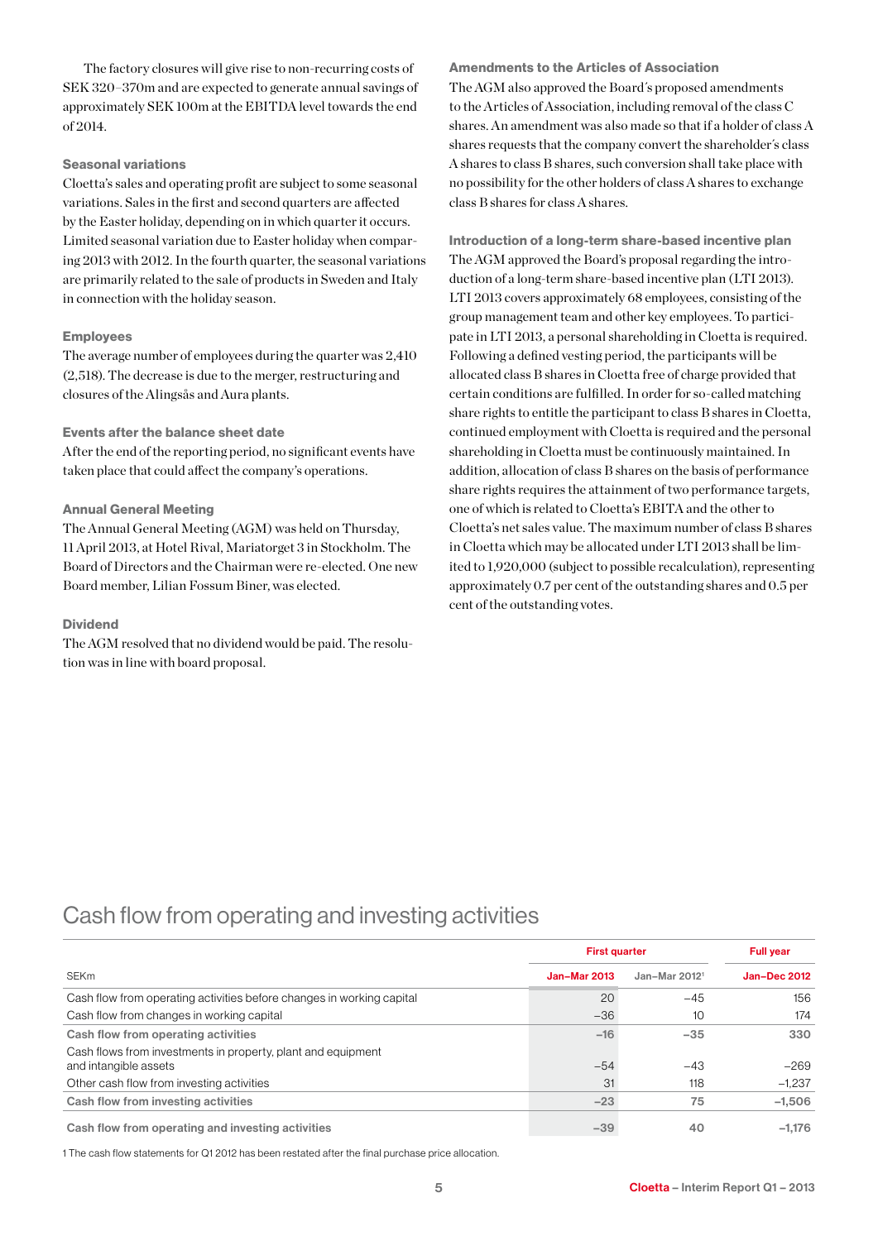The factory closures will give rise to non-recurring costs of SEK 320–370m and are expected to generate annual savings of approximately SEK 100m at the EBITDA level towards the end  $of 2014$ 

### Seasonal variations

Cloetta's sales and operating profit are subject to some seasonal variations. Sales in the first and second quarters are affected by the Easter holiday, depending on in which quarter it occurs. Limited seasonal variation due to Easter holiday when comparing 2013 with 2012. In the fourth quarter, the seasonal variations are primarily related to the sale of products in Sweden and Italy in connection with the holiday season.

### Employees

The average number of employees during the quarter was 2,410 (2,518). The decrease is due to the merger, restructuring and closures of the Alingsås and Aura plants.

### Events after the balance sheet date

After the end of the reporting period, no significant events have taken place that could affect the company's operations.

### Annual General Meeting

The Annual General Meeting (AGM) was held on Thursday, 11 April 2013, at Hotel Rival, Mariatorget 3 in Stockholm. The Board of Directors and the Chairman were re-elected. One new Board member, Lilian Fossum Biner, was elected.

### Dividend

The AGM resolved that no dividend would be paid. The resolution was in line with board proposal.

Amendments to the Articles of Association The AGM also approved the Board´s proposed amendments to the Articles of Association, including removal of the class C shares. An amendment was also made so that if a holder of class A shares requests that the company convert the shareholder´s class A shares to class B shares, such conversion shall take place with no possibility for the other holders of class A shares to exchange class B shares for class A shares.

Introduction of a long-term share-based incentive plan The AGM approved the Board's proposal regarding the introduction of a long-term share-based incentive plan (LTI 2013). LTI 2013 covers approximately 68 employees, consisting of the group management team and other key employees. To participate in LTI 2013, a personal shareholding in Cloetta is required. Following a defined vesting period, the participants will be allocated class B shares in Cloetta free of charge provided that certain conditions are fulfilled. In order for so-called matching share rights to entitle the participant to class B shares in Cloetta, continued employment with Cloetta is required and the personal shareholding in Cloetta must be continuously maintained. In addition, allocation of class B shares on the basis of performance share rights requires the attainment of two performance targets, one of which is related to Cloetta's EBITA and the other to Cloetta's net sales value. The maximum number of class B shares in Cloetta which may be allocated under LTI 2013 shall be limited to 1,920,000 (subject to possible recalculation), representing approximately 0.7 per cent of the outstanding shares and 0.5 per cent of the outstanding votes.

### Cash flow from operating and investing activities

|                                                                                       | <b>First quarter</b> | <b>Full year</b>          |                     |
|---------------------------------------------------------------------------------------|----------------------|---------------------------|---------------------|
| <b>SEKm</b>                                                                           | <b>Jan-Mar 2013</b>  | Jan-Mar 2012 <sup>1</sup> | <b>Jan-Dec 2012</b> |
| Cash flow from operating activities before changes in working capital                 | 20                   | $-45$                     | 156                 |
| Cash flow from changes in working capital                                             | $-36$                | 10                        | 174                 |
| Cash flow from operating activities                                                   | $-16$                | $-35$                     | 330                 |
| Cash flows from investments in property, plant and equipment<br>and intangible assets | $-54$                | $-43$                     | $-269$              |
| Other cash flow from investing activities                                             | 31                   | 118                       | $-1.237$            |
| Cash flow from investing activities                                                   | $-23$                | 75                        | $-1,506$            |
| Cash flow from operating and investing activities                                     | $-39$                | 40                        | $-1,176$            |

1 The cash flow statements for Q1 2012 has been restated after the final purchase price allocation.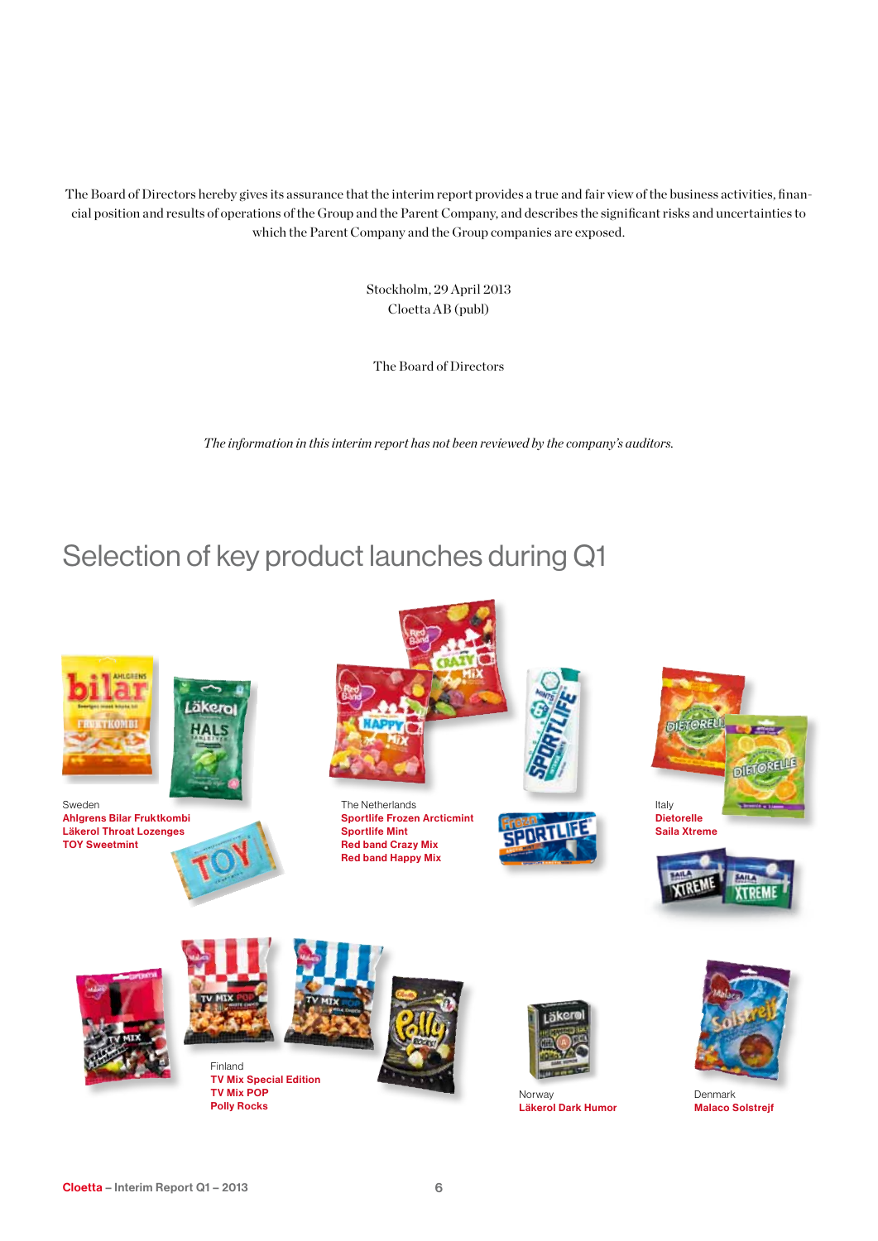The Board of Directors hereby gives its assurance that the interim report provides a true and fair view of the business activities, financial position and results of operations of the Group and the Parent Company, and describes the significant risks and uncertainties to which the Parent Company and the Group companies are exposed.

> Stockholm, 29 April 2013 Cloetta AB (publ)

The Board of Directors

*The information in this interim report has not been reviewed by the company's auditors.*

### Selection of key product launches during Q1

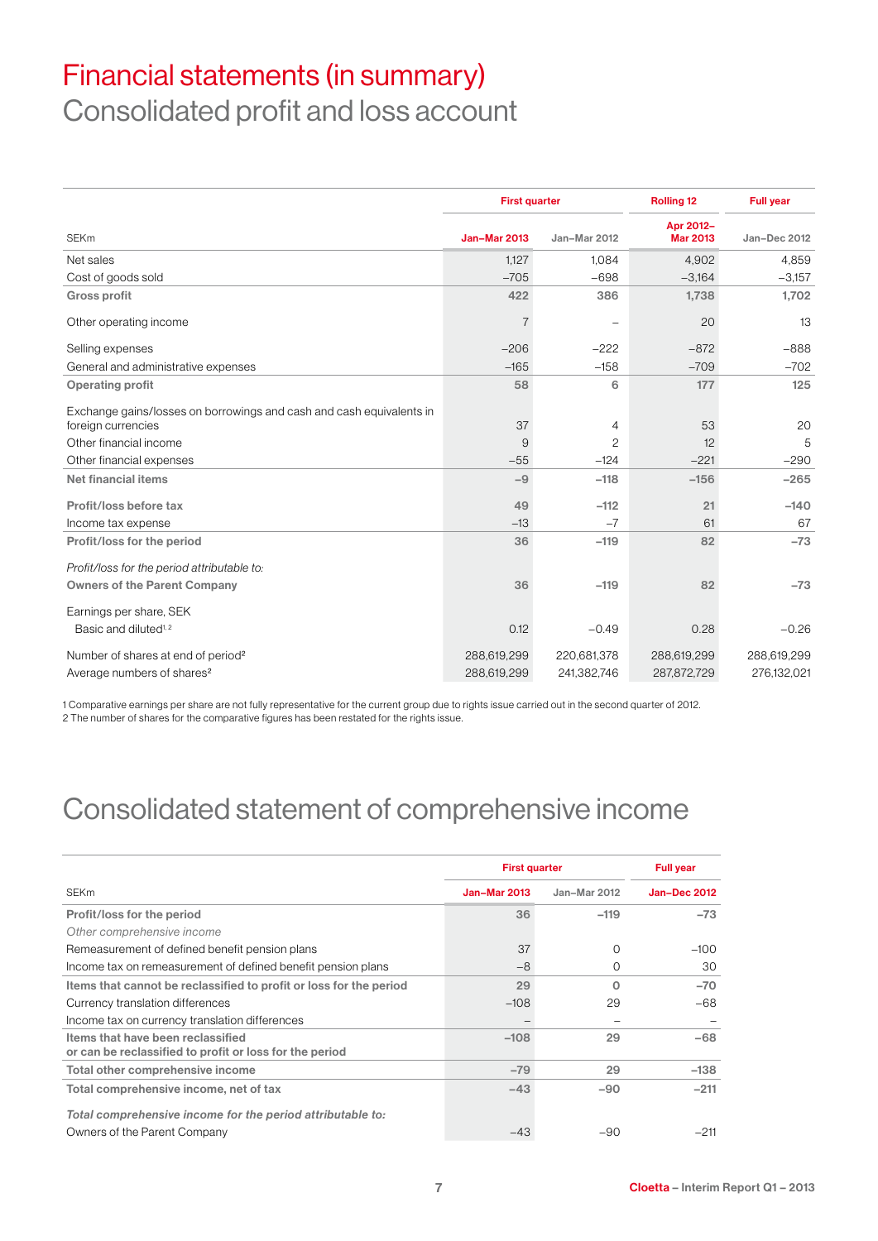# Financial statements (in summary)

Consolidated profit and loss account

|                                                                                            |                     | <b>First quarter</b><br><b>Rolling 12</b> |                              | <b>Full year</b> |
|--------------------------------------------------------------------------------------------|---------------------|-------------------------------------------|------------------------------|------------------|
| <b>SEKm</b>                                                                                | <b>Jan-Mar 2013</b> | Jan-Mar 2012                              | Apr 2012-<br><b>Mar 2013</b> | Jan-Dec 2012     |
| Net sales                                                                                  | 1,127               | 1,084                                     | 4,902                        | 4,859            |
| Cost of goods sold                                                                         | $-705$              | $-698$                                    | $-3,164$                     | $-3,157$         |
| <b>Gross profit</b>                                                                        | 422                 | 386                                       | 1,738                        | 1,702            |
| Other operating income                                                                     | $\overline{7}$      |                                           | 20                           | 13               |
| Selling expenses                                                                           | $-206$              | $-222$                                    | $-872$                       | $-888$           |
| General and administrative expenses                                                        | $-165$              | $-158$                                    | $-709$                       | $-702$           |
| <b>Operating profit</b>                                                                    | 58                  | 6                                         | 177                          | 125              |
| Exchange gains/losses on borrowings and cash and cash equivalents in<br>foreign currencies | 37                  | 4                                         | 53                           | 20               |
| Other financial income                                                                     | 9                   | $\overline{c}$                            | 12                           | 5                |
| Other financial expenses                                                                   | $-55$               | $-124$                                    | $-221$                       | $-290$           |
| Net financial items                                                                        | $-9$                | $-118$                                    | $-156$                       | $-265$           |
| Profit/loss before tax                                                                     | 49                  | $-112$                                    | 21                           | $-140$           |
| Income tax expense                                                                         | $-13$               | $-7$                                      | 61                           | 67               |
| Profit/loss for the period                                                                 | 36                  | $-119$                                    | 82                           | $-73$            |
| Profit/loss for the period attributable to:                                                |                     |                                           |                              |                  |
| <b>Owners of the Parent Company</b>                                                        | 36                  | $-119$                                    | 82                           | $-73$            |
| Earnings per share, SEK                                                                    |                     |                                           |                              |                  |
| Basic and diluted <sup>1,2</sup>                                                           | 0.12                | $-0.49$                                   | 0.28                         | $-0.26$          |
| Number of shares at end of period <sup>2</sup>                                             | 288,619,299         | 220,681,378                               | 288,619,299                  | 288,619,299      |
| Average numbers of shares <sup>2</sup>                                                     | 288,619,299         | 241,382,746                               | 287,872,729                  | 276,132,021      |

1 Comparative earnings per share are not fully representative for the current group due to rights issue carried out in the second quarter of 2012. 2 The number of shares for the comparative figures has been restated for the rights issue.

# Consolidated statement of comprehensive income

|                                                                                              | <b>First quarter</b> | <b>Full year</b> |                     |
|----------------------------------------------------------------------------------------------|----------------------|------------------|---------------------|
| <b>SEKm</b>                                                                                  | <b>Jan-Mar 2013</b>  | Jan-Mar 2012     | <b>Jan-Dec 2012</b> |
| Profit/loss for the period                                                                   | 36                   | $-119$           | $-73$               |
| Other comprehensive income                                                                   |                      |                  |                     |
| Remeasurement of defined benefit pension plans                                               | 37                   | $\Omega$         | $-100$              |
| Income tax on remeasurement of defined benefit pension plans                                 | $-8$                 | $\Omega$         | 30                  |
| Items that cannot be reclassified to profit or loss for the period                           | 29                   | $\Omega$         | $-70$               |
| Currency translation differences                                                             | $-108$               | 29               | $-68$               |
| Income tax on currency translation differences                                               |                      |                  |                     |
| Items that have been reclassified<br>or can be reclassified to profit or loss for the period | $-108$               | 29               | $-68$               |
| Total other comprehensive income                                                             | $-79$                | 29               | $-138$              |
| Total comprehensive income, net of tax                                                       | $-43$                | $-90$            | $-211$              |
| Total comprehensive income for the period attributable to:                                   |                      |                  |                     |
| Owners of the Parent Company                                                                 | $-43$                | $-90$            | $-211$              |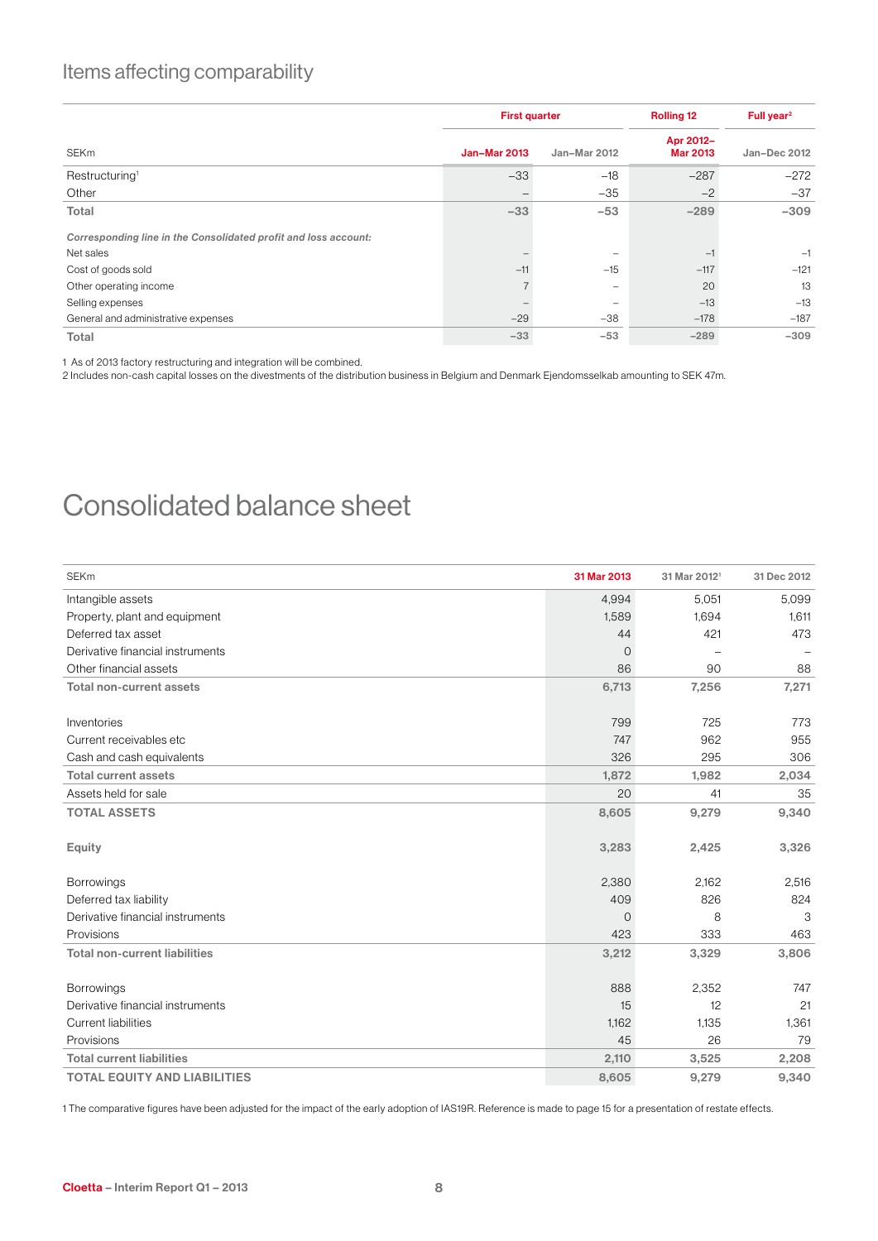### Items affecting comparability

|                                                                 | <b>First quarter</b> |                          | <b>Rolling 12</b>            | Full year <sup>2</sup> |  |
|-----------------------------------------------------------------|----------------------|--------------------------|------------------------------|------------------------|--|
| <b>SEKm</b>                                                     | <b>Jan-Mar 2013</b>  | Jan-Mar 2012             | Apr 2012-<br><b>Mar 2013</b> | Jan-Dec 2012           |  |
| Restructuring <sup>1</sup>                                      | $-33$                | $-18$                    | $-287$                       | $-272$                 |  |
| Other                                                           |                      | $-35$                    | $-2$                         | $-37$                  |  |
| Total                                                           | $-33$                | $-53$                    | $-289$                       | $-309$                 |  |
| Corresponding line in the Consolidated profit and loss account: |                      |                          |                              |                        |  |
| Net sales                                                       |                      | $\overline{\phantom{0}}$ | $-1$                         | $-1$                   |  |
| Cost of goods sold                                              | $-11$                | $-15$                    | $-117$                       | $-121$                 |  |
| Other operating income                                          |                      | $\overline{\phantom{0}}$ | 20                           | 13                     |  |
| Selling expenses                                                |                      |                          | $-13$                        | $-13$                  |  |
| General and administrative expenses                             | $-29$                | $-38$                    | $-178$                       | $-187$                 |  |
| Total                                                           | $-33$                | $-53$                    | $-289$                       | $-309$                 |  |

1 As of 2013 factory restructuring and integration will be combined.

2 Includes non-cash capital losses on the divestments of the distribution business in Belgium and Denmark Ejendomsselkab amounting to SEK 47m.

### Consolidated balance sheet

| <b>SEKm</b>                          | 31 Mar 2013    | 31 Mar 2012 <sup>1</sup> | 31 Dec 2012 |
|--------------------------------------|----------------|--------------------------|-------------|
| Intangible assets                    | 4,994          | 5,051                    | 5,099       |
| Property, plant and equipment        | 1,589          | 1.694                    | 1,611       |
| Deferred tax asset                   | 44             | 421                      | 473         |
| Derivative financial instruments     | $\overline{O}$ | ÷                        |             |
| Other financial assets               | 86             | 90                       | 88          |
| <b>Total non-current assets</b>      | 6,713          | 7,256                    | 7,271       |
|                                      |                |                          |             |
| Inventories                          | 799            | 725                      | 773         |
| Current receivables etc              | 747            | 962                      | 955         |
| Cash and cash equivalents            | 326            | 295                      | 306         |
| <b>Total current assets</b>          | 1,872          | 1,982                    | 2,034       |
| Assets held for sale                 | 20             | 41                       | 35          |
| <b>TOTAL ASSETS</b>                  | 8,605          | 9,279                    | 9,340       |
|                                      |                |                          |             |
| <b>Equity</b>                        | 3,283          | 2,425                    | 3,326       |
|                                      |                |                          |             |
| <b>Borrowings</b>                    | 2,380          | 2,162                    | 2,516       |
| Deferred tax liability               | 409            | 826                      | 824         |
| Derivative financial instruments     | $\mathbf 0$    | 8                        | 3           |
| Provisions                           | 423            | 333                      | 463         |
| <b>Total non-current liabilities</b> | 3,212          | 3,329                    | 3,806       |
|                                      |                |                          |             |
| <b>Borrowings</b>                    | 888            | 2.352                    | 747         |
| Derivative financial instruments     | 15             | 12                       | 21          |
| <b>Current liabilities</b>           | 1,162          | 1,135                    | 1,361       |
| Provisions                           | 45             | 26                       | 79          |
| <b>Total current liabilities</b>     | 2,110          | 3,525                    | 2,208       |
| <b>TOTAL EQUITY AND LIABILITIES</b>  | 8,605          | 9,279                    | 9,340       |

1 The comparative figures have been adjusted for the impact of the early adoption of IAS19R. Reference is made to page 15 for a presentation of restate effects.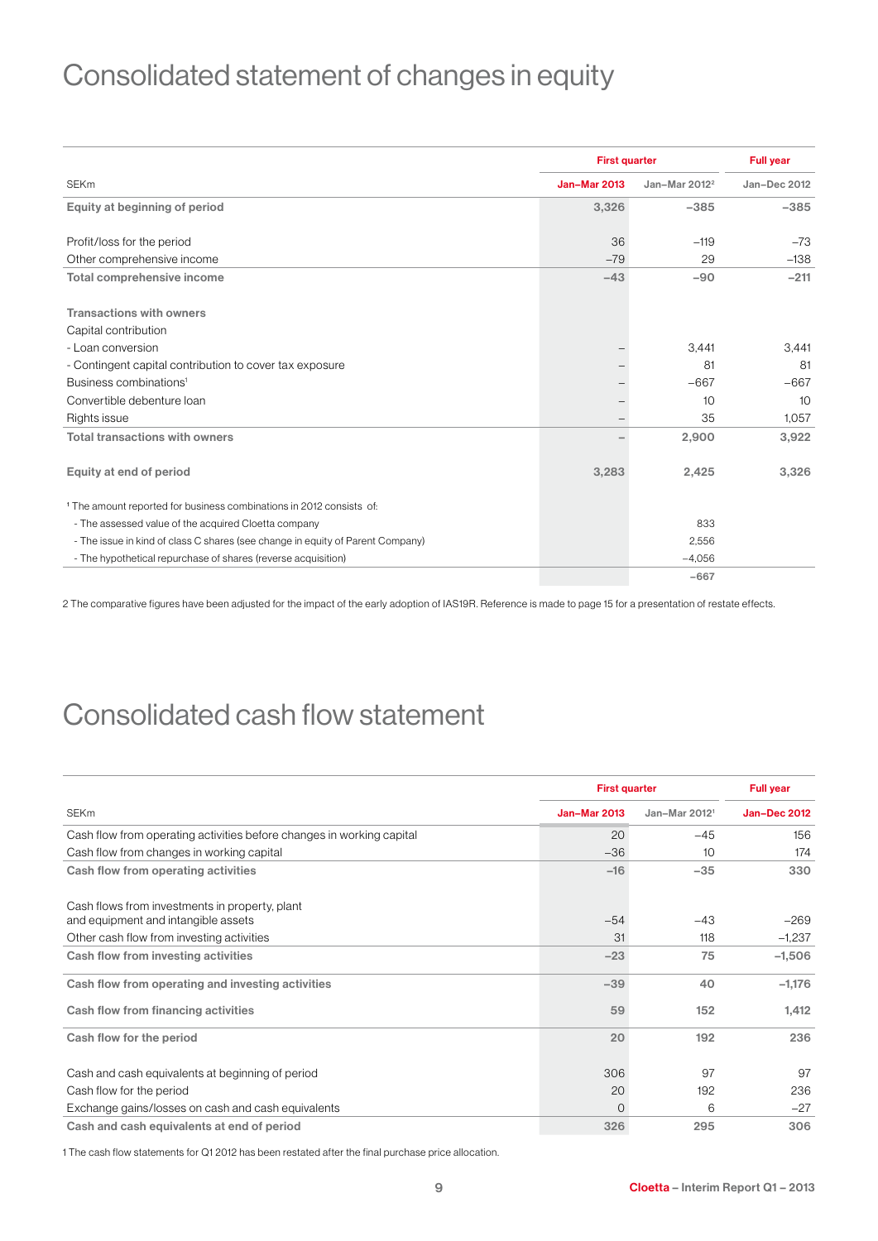# Consolidated statement of changes in equity

|                                                                                 | <b>First quarter</b> | <b>Full year</b>          |              |
|---------------------------------------------------------------------------------|----------------------|---------------------------|--------------|
| <b>SEKm</b>                                                                     | <b>Jan-Mar 2013</b>  | Jan-Mar 2012 <sup>2</sup> | Jan-Dec 2012 |
| Equity at beginning of period                                                   | 3,326                | $-385$                    | $-385$       |
|                                                                                 |                      |                           |              |
| Profit/loss for the period                                                      | 36                   | $-119$                    | $-73$        |
| Other comprehensive income                                                      | $-79$                | 29                        | $-138$       |
| <b>Total comprehensive income</b>                                               | $-43$                | $-90$                     | $-211$       |
|                                                                                 |                      |                           |              |
| <b>Transactions with owners</b>                                                 |                      |                           |              |
| Capital contribution                                                            |                      |                           |              |
| - Loan conversion                                                               |                      | 3,441                     | 3,441        |
| - Contingent capital contribution to cover tax exposure                         |                      | 81                        | 81           |
| Business combinations <sup>1</sup>                                              |                      | $-667$                    | $-667$       |
| Convertible debenture loan                                                      |                      | 10                        | 10           |
| Rights issue                                                                    |                      | 35                        | 1.057        |
| <b>Total transactions with owners</b>                                           |                      | 2,900                     | 3,922        |
| Equity at end of period                                                         | 3,283                | 2,425                     | 3,326        |
| <sup>1</sup> The amount reported for business combinations in 2012 consists of: |                      |                           |              |
| - The assessed value of the acquired Cloetta company                            |                      | 833                       |              |
| - The issue in kind of class C shares (see change in equity of Parent Company)  |                      | 2,556                     |              |
| - The hypothetical repurchase of shares (reverse acquisition)                   |                      | $-4,056$                  |              |
|                                                                                 |                      | $-667$                    |              |

2 The comparative figures have been adjusted for the impact of the early adoption of IAS19R. Reference is made to page 15 for a presentation of restate effects.

# Consolidated cash flow statement

|                                                                       |                     | <b>First quarter</b>      |                     |  |  |
|-----------------------------------------------------------------------|---------------------|---------------------------|---------------------|--|--|
| <b>SEKm</b>                                                           | <b>Jan-Mar 2013</b> | Jan-Mar 2012 <sup>1</sup> | <b>Jan-Dec 2012</b> |  |  |
| Cash flow from operating activities before changes in working capital | 20                  | $-45$                     | 156                 |  |  |
| Cash flow from changes in working capital                             | $-36$               | 10                        | 174                 |  |  |
| Cash flow from operating activities                                   | $-16$               | $-35$                     | 330                 |  |  |
| Cash flows from investments in property, plant                        |                     |                           |                     |  |  |
| and equipment and intangible assets                                   | $-54$               | $-43$                     | $-269$              |  |  |
| Other cash flow from investing activities                             | 31                  | 118                       | $-1,237$            |  |  |
| Cash flow from investing activities                                   | $-23$               | 75                        | $-1,506$            |  |  |
| Cash flow from operating and investing activities                     | $-39$               | 40                        | $-1,176$            |  |  |
| Cash flow from financing activities                                   | 59                  | 152                       | 1,412               |  |  |
| Cash flow for the period                                              | 20                  | 192                       | 236                 |  |  |
| Cash and cash equivalents at beginning of period                      | 306                 | 97                        | 97                  |  |  |
| Cash flow for the period                                              | 20                  | 192                       | 236                 |  |  |
| Exchange gains/losses on cash and cash equivalents                    | $\overline{O}$      | 6                         | $-27$               |  |  |
| Cash and cash equivalents at end of period                            | 326                 | 295                       | 306                 |  |  |

1 The cash flow statements for Q1 2012 has been restated after the final purchase price allocation.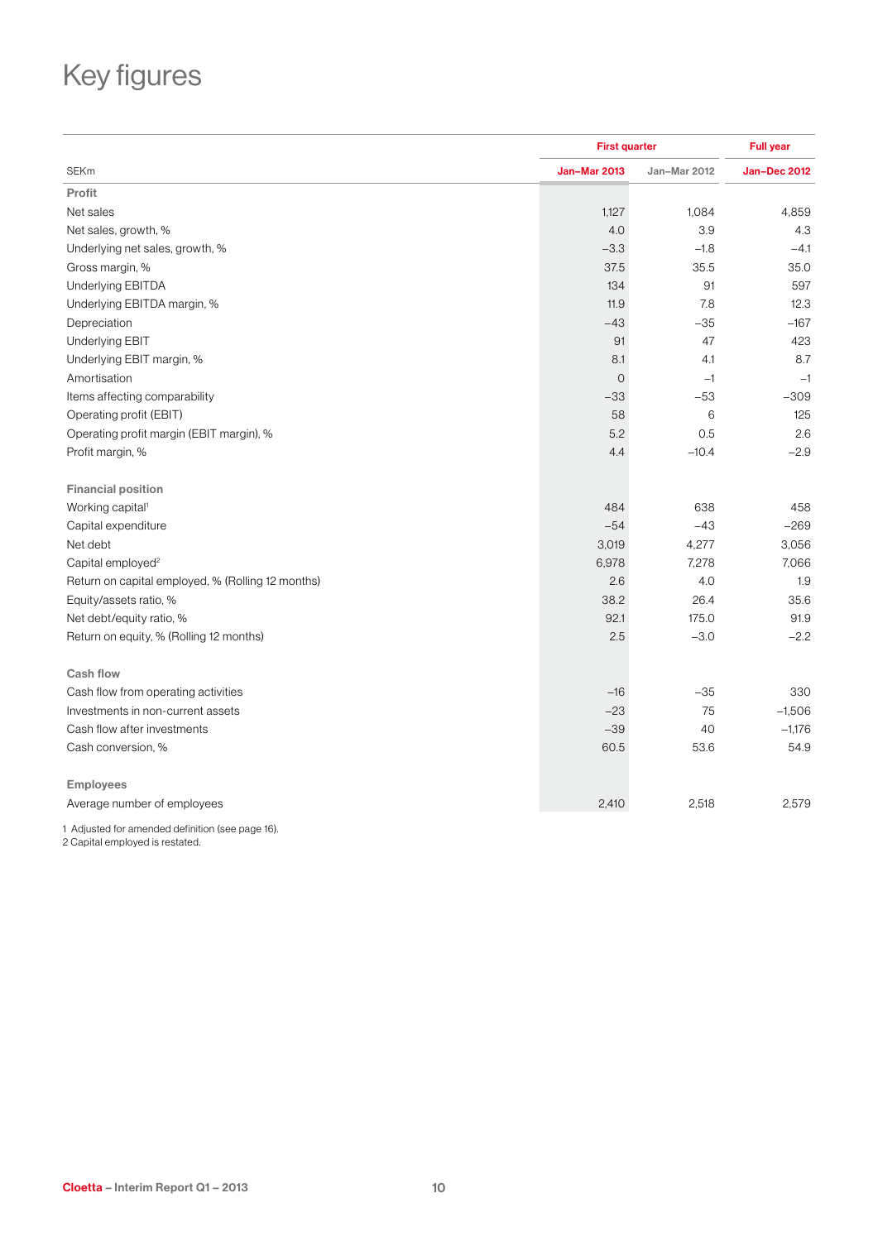# Key figures

|                                                   |                     | <b>First quarter</b> |                     |  |  |
|---------------------------------------------------|---------------------|----------------------|---------------------|--|--|
| <b>SEKm</b>                                       | <b>Jan-Mar 2013</b> | Jan-Mar 2012         | <b>Jan-Dec 2012</b> |  |  |
| Profit                                            |                     |                      |                     |  |  |
| Net sales                                         | 1,127               | 1,084                | 4,859               |  |  |
| Net sales, growth, %                              | 4.0                 | 3.9                  | 4.3                 |  |  |
| Underlying net sales, growth, %                   | $-3.3$              | $-1.8$               | $-4.1$              |  |  |
| Gross margin, %                                   | 37.5                | 35.5                 | 35.0                |  |  |
| Underlying EBITDA                                 | 134                 | 91                   | 597                 |  |  |
| Underlying EBITDA margin, %                       | 11.9                | 7.8                  | 12.3                |  |  |
| Depreciation                                      | $-43$               | $-35$                | $-167$              |  |  |
| Underlying EBIT                                   | 91                  | 47                   | 423                 |  |  |
| Underlying EBIT margin, %                         | 8.1                 | 4.1                  | 8.7                 |  |  |
| Amortisation                                      | $\mathsf{O}$        | $-1$                 | $-1$                |  |  |
| Items affecting comparability                     | $-33$               | $-53$                | $-309$              |  |  |
| Operating profit (EBIT)                           | 58                  | 6                    | 125                 |  |  |
| Operating profit margin (EBIT margin), %          | 5.2                 | 0.5                  | 2.6                 |  |  |
| Profit margin, %                                  | 4.4                 | $-10.4$              | $-2.9$              |  |  |
| <b>Financial position</b>                         |                     |                      |                     |  |  |
| Working capital <sup>1</sup>                      | 484                 | 638                  | 458                 |  |  |
| Capital expenditure                               | $-54$               | $-43$                | $-269$              |  |  |
| Net debt                                          | 3,019               | 4,277                | 3,056               |  |  |
| Capital employed <sup>2</sup>                     | 6,978               | 7,278                | 7,066               |  |  |
| Return on capital employed, % (Rolling 12 months) | 2.6                 | 4.0                  | 1.9                 |  |  |
| Equity/assets ratio, %                            | 38.2                | 26.4                 | 35.6                |  |  |
| Net debt/equity ratio, %                          | 92.1                | 175.0                | 91.9                |  |  |
| Return on equity, % (Rolling 12 months)           | 2.5                 | $-3.0$               | $-2.2$              |  |  |
| <b>Cash flow</b>                                  |                     |                      |                     |  |  |
| Cash flow from operating activities               | $-16$               | $-35$                | 330                 |  |  |
| Investments in non-current assets                 | $-23$               | 75                   | $-1,506$            |  |  |
| Cash flow after investments                       | $-39$               | 40                   | $-1,176$            |  |  |
| Cash conversion, %                                | 60.5                | 53.6                 | 54.9                |  |  |
| <b>Employees</b>                                  |                     |                      |                     |  |  |
| Average number of employees                       | 2,410               | 2,518                | 2,579               |  |  |

1 Adjusted for amended definition (see page 16). 2 Capital employed is restated.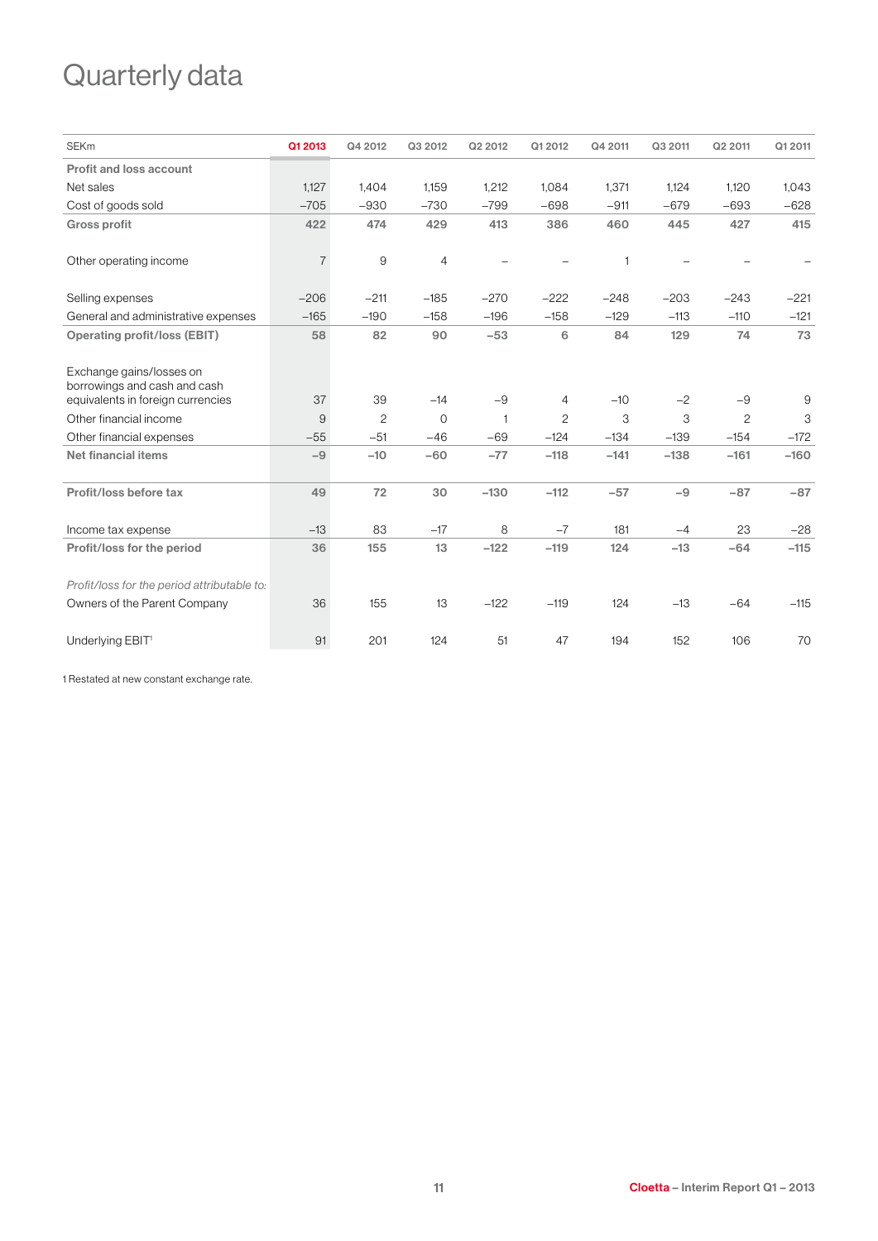# Quarterly data

| <b>SEKm</b>                                                                                   | Q1 2013        | Q4 2012        | Q3 2012        | Q2 2012      | Q1 2012        | Q4 2011 | Q3 2011 | Q2 2011        | Q1 2011 |
|-----------------------------------------------------------------------------------------------|----------------|----------------|----------------|--------------|----------------|---------|---------|----------------|---------|
| Profit and loss account                                                                       |                |                |                |              |                |         |         |                |         |
| Net sales                                                                                     | 1,127          | 1,404          | 1,159          | 1,212        | 1,084          | 1,371   | 1.124   | 1,120          | 1,043   |
| Cost of goods sold                                                                            | $-705$         | $-930$         | $-730$         | $-799$       | $-698$         | $-911$  | $-679$  | $-693$         | $-628$  |
| <b>Gross profit</b>                                                                           | 422            | 474            | 429            | 413          | 386            | 460     | 445     | 427            | 415     |
| Other operating income                                                                        | $\overline{7}$ | 9              | $\overline{4}$ |              |                | 1       |         |                |         |
| Selling expenses                                                                              | $-206$         | $-211$         | $-185$         | $-270$       | $-222$         | $-248$  | $-203$  | $-243$         | $-221$  |
| General and administrative expenses                                                           | $-165$         | $-190$         | $-158$         | $-196$       | $-158$         | $-129$  | $-113$  | $-110$         | $-121$  |
| <b>Operating profit/loss (EBIT)</b>                                                           | 58             | 82             | 90             | $-53$        | 6              | 84      | 129     | 74             | 73      |
| Exchange gains/losses on<br>borrowings and cash and cash<br>equivalents in foreign currencies | 37             | 39             | $-14$          | $-9$         | $\overline{4}$ | $-10$   | $-2$    | $-9$           | 9       |
| Other financial income                                                                        | 9              | $\overline{c}$ | $\Omega$       | $\mathbf{1}$ | $\overline{c}$ | 3       | 3       | $\overline{c}$ | 3       |
| Other financial expenses                                                                      | $-55$          | $-51$          | $-46$          | $-69$        | $-124$         | $-134$  | $-139$  | $-154$         | $-172$  |
| <b>Net financial items</b>                                                                    | $-9$           | $-10$          | $-60$          | $-77$        | $-118$         | $-141$  | $-138$  | $-161$         | $-160$  |
| Profit/loss before tax                                                                        | 49             | 72             | 30             | $-130$       | $-112$         | $-57$   | $-9$    | $-87$          | $-87$   |
| Income tax expense                                                                            | $-13$          | 83             | $-17$          | 8            | $-7$           | 181     | $-4$    | 23             | $-28$   |
| Profit/loss for the period                                                                    | 36             | 155            | 13             | $-122$       | $-119$         | 124     | $-13$   | $-64$          | $-115$  |
| Profit/loss for the period attributable to:                                                   |                |                |                |              |                |         |         |                |         |
| Owners of the Parent Company                                                                  | 36             | 155            | 13             | $-122$       | $-119$         | 124     | $-13$   | $-64$          | $-115$  |
| Underlying EBIT <sup>1</sup>                                                                  | 91             | 201            | 124            | 51           | 47             | 194     | 152     | 106            | 70      |

1 Restated at new constant exchange rate.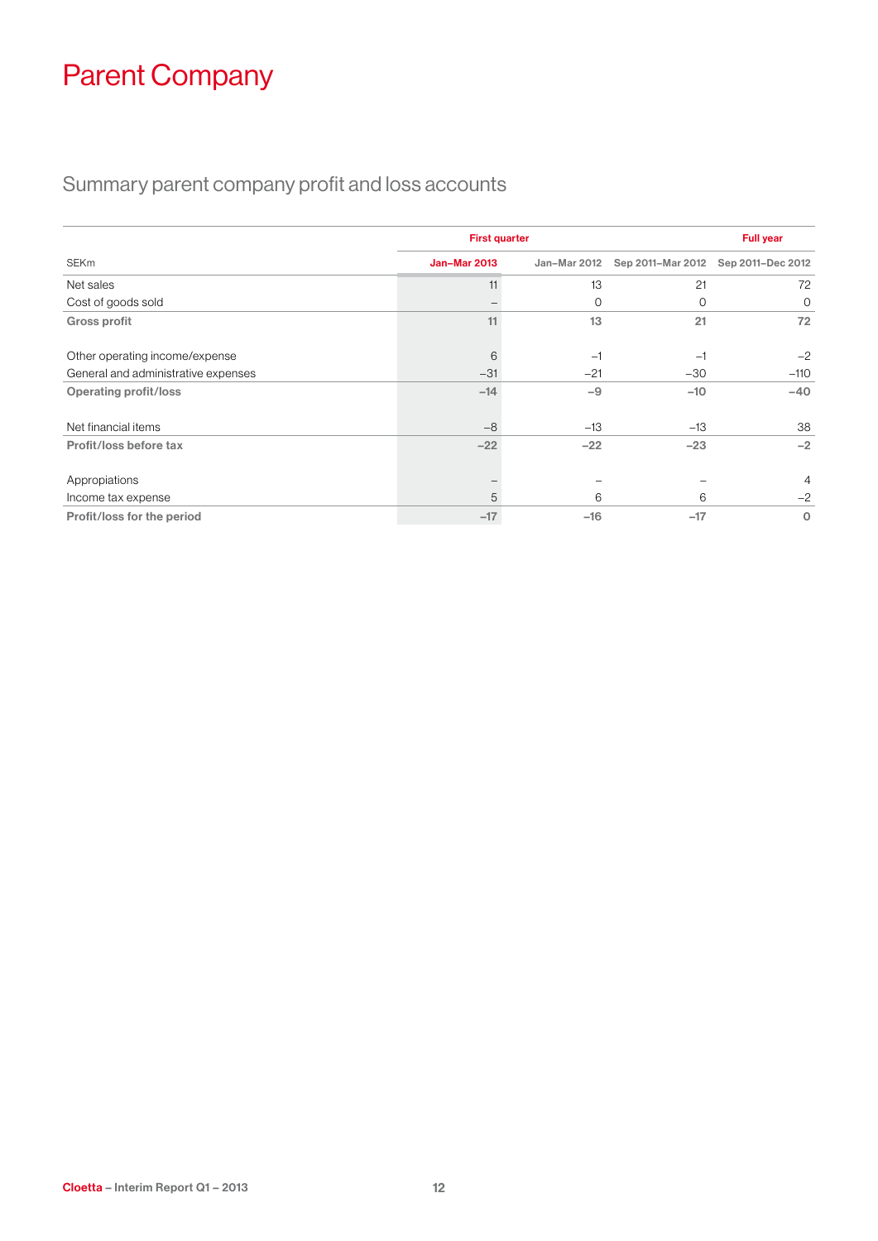# Parent Company

### Summary parent company profit and loss accounts

|                                     | <b>First quarter</b> |              |                   | <b>Full year</b>  |  |  |
|-------------------------------------|----------------------|--------------|-------------------|-------------------|--|--|
| <b>SEKm</b>                         | <b>Jan-Mar 2013</b>  | Jan-Mar 2012 | Sep 2011-Mar 2012 | Sep 2011-Dec 2012 |  |  |
| Net sales                           | 11                   | 13           | 21                | 72                |  |  |
| Cost of goods sold                  |                      | 0            | 0                 | $\circ$           |  |  |
| <b>Gross profit</b>                 | 11                   | 13           | 21                | 72                |  |  |
| Other operating income/expense      | 6                    | $-1$         | $-1$              | $-2$              |  |  |
| General and administrative expenses | $-31$                | $-21$        | $-30$             | $-110$            |  |  |
| <b>Operating profit/loss</b>        | $-14$                | $-9$         | $-10$             | $-40$             |  |  |
| Net financial items                 | $-8$                 | $-13$        | $-13$             | 38                |  |  |
| Profit/loss before tax              | $-22$                | $-22$        | $-23$             | $-2$              |  |  |
| Appropiations                       |                      |              |                   | $\overline{4}$    |  |  |
| Income tax expense                  | 5                    | 6            | 6                 | $-2$              |  |  |
| Profit/loss for the period          | $-17$                | $-16$        | $-17$             | $\circ$           |  |  |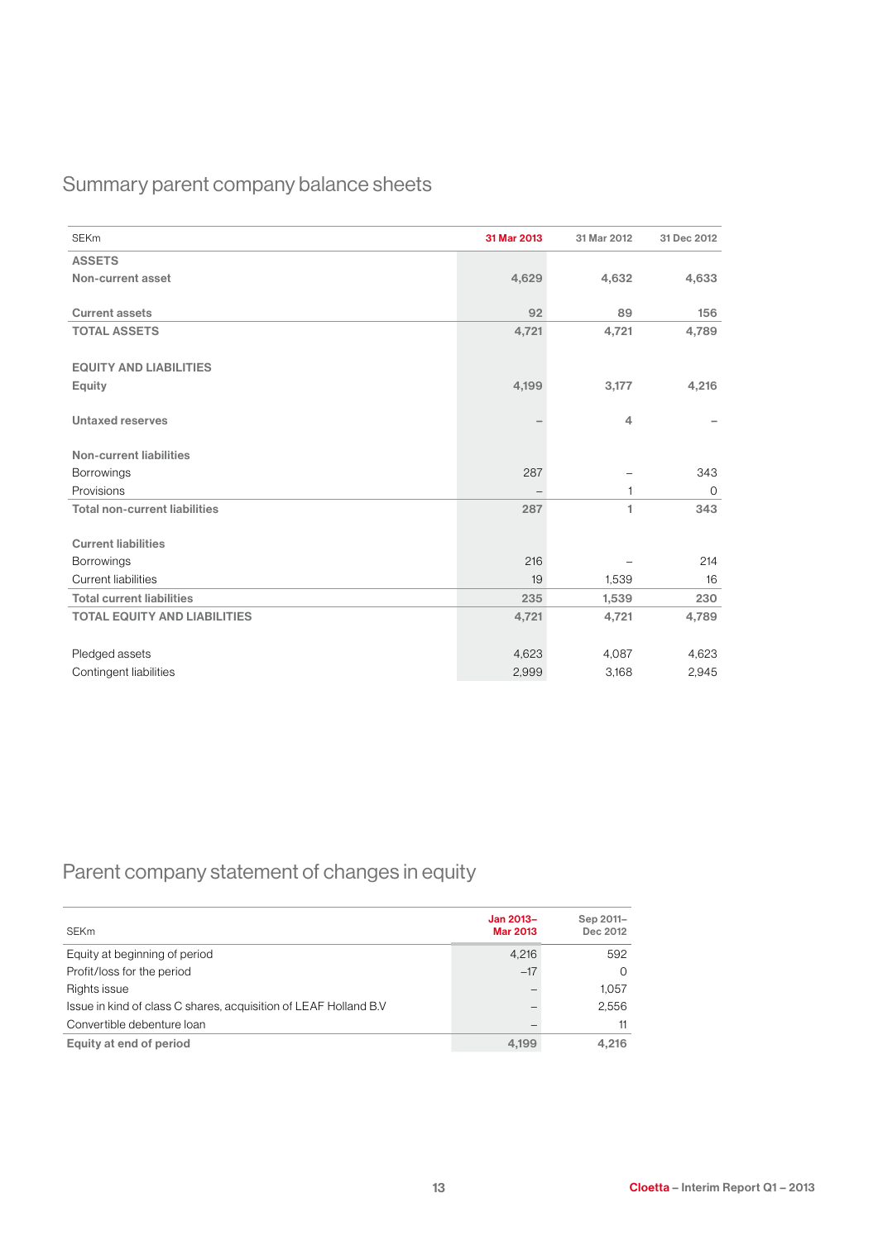### Summary parent company balance sheets

| <b>SEKm</b>                          | 31 Mar 2013 | 31 Mar 2012    | 31 Dec 2012 |
|--------------------------------------|-------------|----------------|-------------|
| <b>ASSETS</b>                        |             |                |             |
| Non-current asset                    | 4,629       | 4,632          | 4,633       |
| <b>Current assets</b>                | 92          | 89             | 156         |
| <b>TOTAL ASSETS</b>                  | 4,721       | 4,721          | 4,789       |
| <b>EQUITY AND LIABILITIES</b>        |             |                |             |
| Equity                               | 4,199       | 3,177          | 4,216       |
| Untaxed reserves                     |             | $\overline{4}$ |             |
| Non-current liabilities              |             |                |             |
| <b>Borrowings</b>                    | 287         |                | 343         |
| Provisions                           |             | $\mathbf{1}$   | $\mathbf 0$ |
| <b>Total non-current liabilities</b> | 287         | 1              | 343         |
| <b>Current liabilities</b>           |             |                |             |
| Borrowings                           | 216         |                | 214         |
| <b>Current liabilities</b>           | 19          | 1.539          | 16          |
| <b>Total current liabilities</b>     | 235         | 1,539          | 230         |
| <b>TOTAL EQUITY AND LIABILITIES</b>  | 4,721       | 4,721          | 4,789       |
| Pledged assets                       | 4,623       | 4,087          | 4,623       |
| Contingent liabilities               | 2,999       | 3,168          | 2,945       |

### Parent company statement of changes in equity

| <b>SEKm</b>                                                      | Jan 2013-<br>Mar 2013 | Sep 2011-<br>Dec 2012 |
|------------------------------------------------------------------|-----------------------|-----------------------|
| Equity at beginning of period                                    | 4.216                 | 592                   |
| Profit/loss for the period                                       | $-17$                 | $\Omega$              |
| Rights issue                                                     |                       | 1.057                 |
| Issue in kind of class C shares, acquisition of LEAF Holland B.V |                       | 2.556                 |
| Convertible debenture loan                                       |                       | 11                    |
| Equity at end of period                                          | 4.199                 | 4.216                 |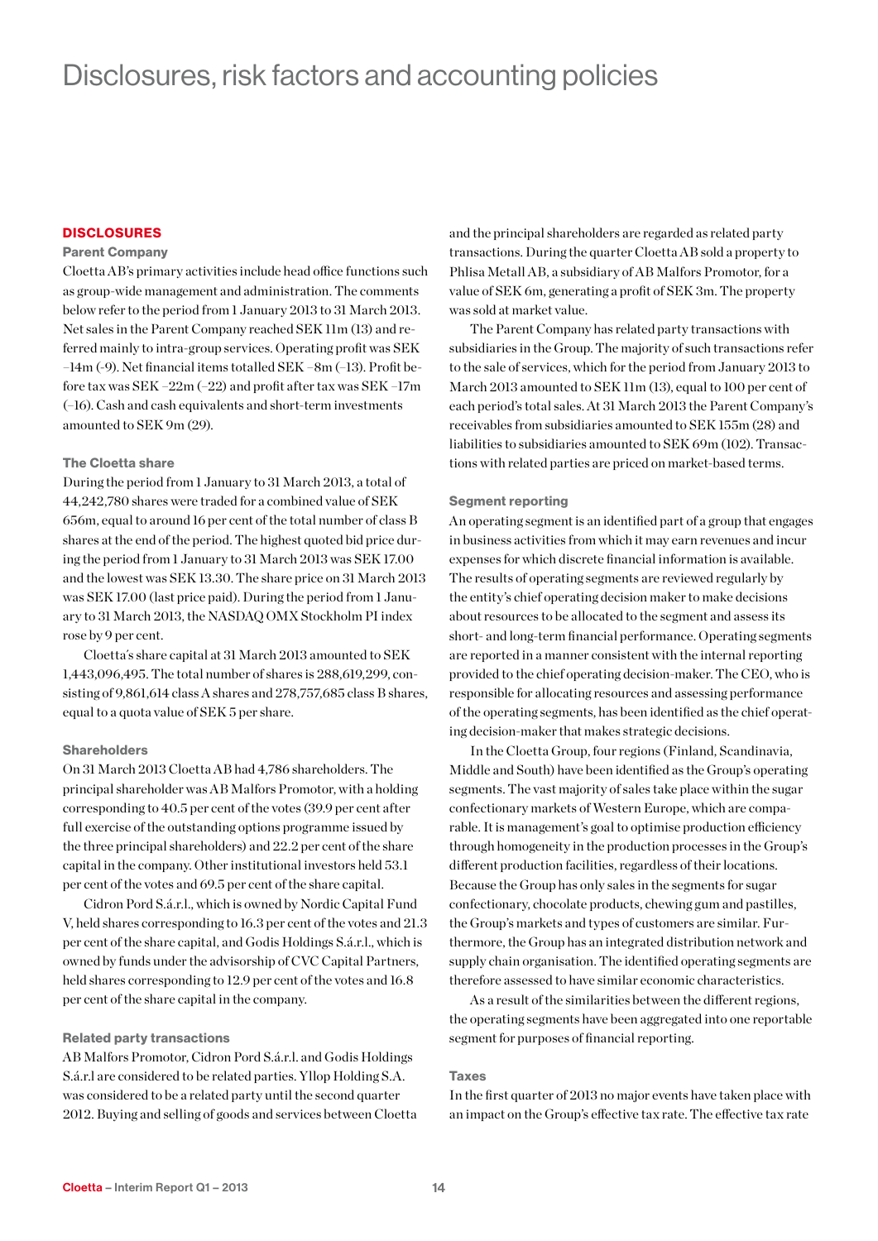### Disclosures, risk factors and accounting policies

### **DISCLOSURES**

### Parent Company

Cloetta AB's primary activities include head office functions such as group-wide management and administration. The comments below refer to the period from 1 January 2013 to 31 March 2013. Net sales in the Parent Company reached SEK 11m (13) and referred mainly to intra-group services. Operating profit was SEK –14m (-9). Net financial items totalled SEK –8m (–13). Profit before tax was SEK –22m (–22) and profit after tax was SEK –17m (–16). Cash and cash equivalents and short-term investments amounted to SEK 9m (29).

#### The Cloetta share

During the period from 1 January to 31 March 2013, a total of 44,242,780 shares were traded for a combined value of SEK 656m, equal to around 16 per cent of the total number of class B shares at the end of the period. The highest quoted bid price during the period from 1 January to 31 March 2013 was SEK 17.00 and the lowest was SEK 13.30. The share price on 31 March 2013 was SEK 17.00 (last price paid). During the period from 1 January to 31 March 2013, the NASDAQ OMX Stockholm PI index rose by 9 per cent.

Cloetta´s share capital at 31 March 2013 amounted to SEK 1,443,096,495. The total number of shares is 288,619,299, consisting of 9,861,614 class A shares and 278,757,685 class B shares, equal to a quota value of SEK 5 per share.

### Shareholders

On 31 March 2013 Cloetta AB had 4,786 shareholders. The principal shareholder was AB Malfors Promotor, with a holding corresponding to 40.5 per cent of the votes (39.9 per cent after full exercise of the outstanding options programme issued by the three principal shareholders) and 22.2 per cent of the share capital in the company. Other institutional investors held 53.1 per cent of the votes and 69.5 per cent of the share capital.

Cidron Pord S.á.r.l., which is owned by Nordic Capital Fund V, held shares corresponding to 16.3 per cent of the votes and 21.3 per cent of the share capital, and Godis Holdings S.á.r.l., which is owned by funds under the advisorship of CVC Capital Partners, held shares corresponding to 12.9 per cent of the votes and 16.8 per cent of the share capital in the company.

#### Related party transactions

AB Malfors Promotor, Cidron Pord S.á.r.l. and Godis Holdings S.á.r.l are considered to be related parties. Yllop Holding S.A. was considered to be a related party until the second quarter 2012. Buying and selling of goods and services between Cloetta and the principal shareholders are regarded as related party transactions. During the quarter Cloetta AB sold a property to Phlisa Metall AB, a subsidiary of AB Malfors Promotor, for a value of SEK 6m, generating a profit of SEK 3m. The property was sold at market value.

The Parent Company has related party transactions with subsidiaries in the Group. The majority of such transactions refer to the sale of services, which for the period from January 2013 to March 2013 amounted to SEK 11m (13), equal to 100 per cent of each period's total sales. At 31 March 2013 the Parent Company's receivables from subsidiaries amounted to SEK 155m (28) and liabilities to subsidiaries amounted to SEK 69m (102). Transactions with related parties are priced on market-based terms.

#### Segment reporting

An operating segment is an identified part of a group that engages in business activities from which it may earn revenues and incur expenses for which discrete financial information is available. The results of operating segments are reviewed regularly by the entity's chief operating decision maker to make decisions about resources to be allocated to the segment and assess its short- and long-term financial performance. Operating segments are reported in a manner consistent with the internal reporting provided to the chief operating decision-maker. The CEO, who is responsible for allocating resources and assessing performance of the operating segments, has been identified as the chief operating decision-maker that makes strategic decisions.

In the Cloetta Group, four regions (Finland, Scandinavia, Middle and South) have been identified as the Group's operating segments. The vast majority of sales take place within the sugar confectionary markets of Western Europe, which are comparable. It is management's goal to optimise production efficiency through homogeneity in the production processes in the Group's different production facilities, regardless of their locations. Because the Group has only sales in the segments for sugar confectionary, chocolate products, chewing gum and pastilles, the Group's markets and types of customers are similar. Furthermore, the Group has an integrated distribution network and supply chain organisation. The identified operating segments are therefore assessed to have similar economic characteristics.

As a result of the similarities between the different regions, the operating segments have been aggregated into one reportable segment for purposes of financial reporting.

#### Taxes

In the first quarter of 2013 no major events have taken place with an impact on the Group's effective tax rate. The effective tax rate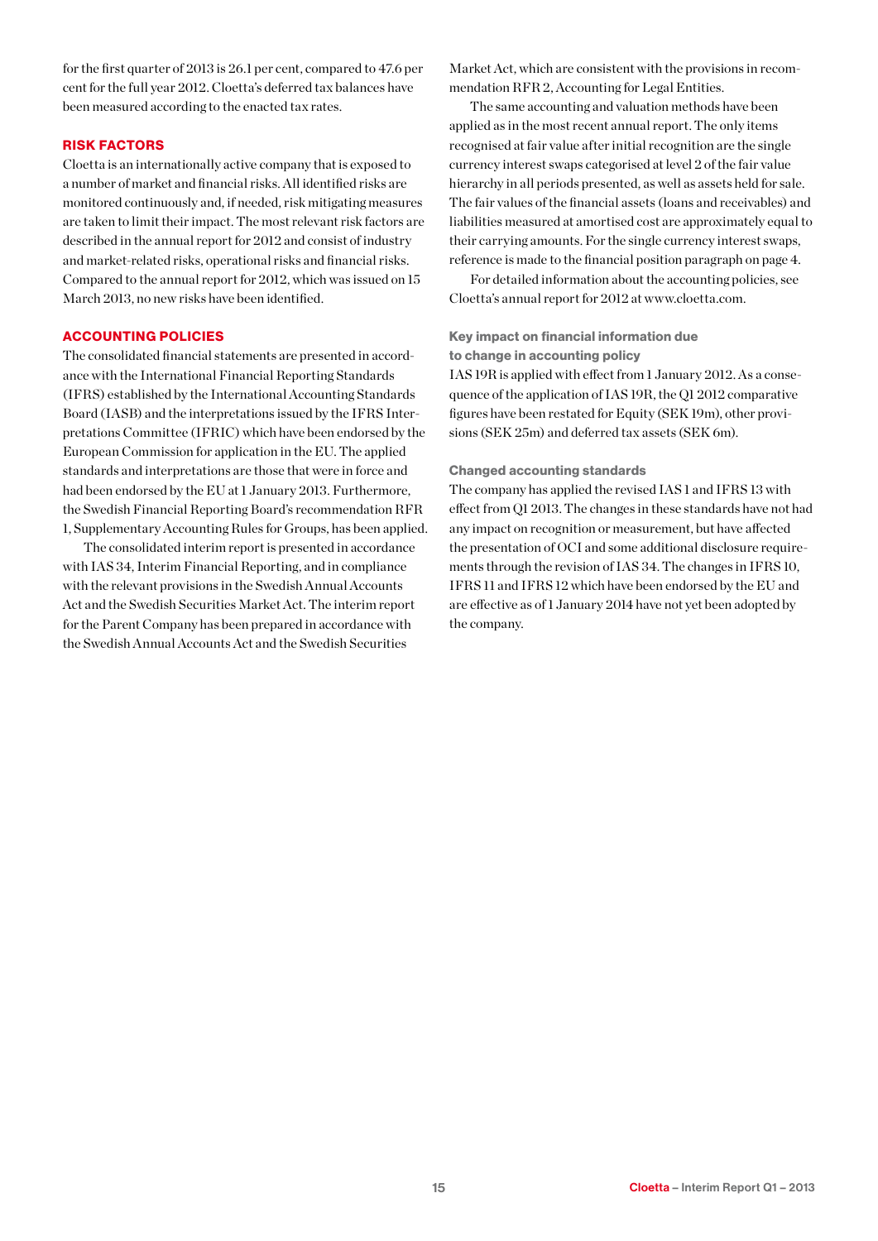for the first quarter of 2013 is 26.1 per cent, compared to 47.6 per cent for the full year 2012. Cloetta's deferred tax balances have been measured according to the enacted tax rates.

### Risk factors

Cloetta is an internationally active company that is exposed to a number of market and financial risks. All identified risks are monitored continuously and, if needed, risk mitigating measures are taken to limit their impact. The most relevant risk factors are described in the annual report for 2012 and consist of industry and market-related risks, operational risks and financial risks. Compared to the annual report for 2012, which was issued on 15 March 2013, no new risks have been identified.

### ACCOUNTING POLICIES

The consolidated financial statements are presented in accordance with the International Financial Reporting Standards (IFRS) established by the International Accounting Standards Board (IASB) and the interpretations issued by the IFRS Interpretations Committee (IFRIC) which have been endorsed by the European Commission for application in the EU. The applied standards and interpretations are those that were in force and had been endorsed by the EU at 1 January 2013. Furthermore, the Swedish Financial Reporting Board's recommendation RFR 1, Supplementary Accounting Rules for Groups, has been applied.

The consolidated interim report is presented in accordance with IAS 34, Interim Financial Reporting, and in compliance with the relevant provisions in the Swedish Annual Accounts Act and the Swedish Securities Market Act. The interim report for the Parent Company has been prepared in accordance with the Swedish Annual Accounts Act and the Swedish Securities

Market Act, which are consistent with the provisions in recommendation RFR 2, Accounting for Legal Entities.

The same accounting and valuation methods have been applied as in the most recent annual report. The only items recognised at fair value after initial recognition are the single currency interest swaps categorised at level 2 of the fair value hierarchy in all periods presented, as well as assets held for sale. The fair values of the financial assets (loans and receivables) and liabilities measured at amortised cost are approximately equal to their carrying amounts. For the single currency interest swaps, reference is made to the financial position paragraph on page 4.

For detailed information about the accounting policies, see Cloetta's annual report for 2012 at www.cloetta.com.

### Key impact on financial information due

to change in accounting policy

IAS 19R is applied with effect from 1 January 2012. As a consequence of the application of IAS 19R, the Q1 2012 comparative figures have been restated for Equity (SEK 19m), other provisions (SEK 25m) and deferred tax assets (SEK 6m).

### Changed accounting standards

The company has applied the revised IAS 1 and IFRS 13 with effect from Q1 2013. The changes in these standards have not had any impact on recognition or measurement, but have affected the presentation of OCI and some additional disclosure requirements through the revision of IAS 34. The changes in IFRS 10, IFRS 11 and IFRS 12 which have been endorsed by the EU and are effective as of 1 January 2014 have not yet been adopted by the company.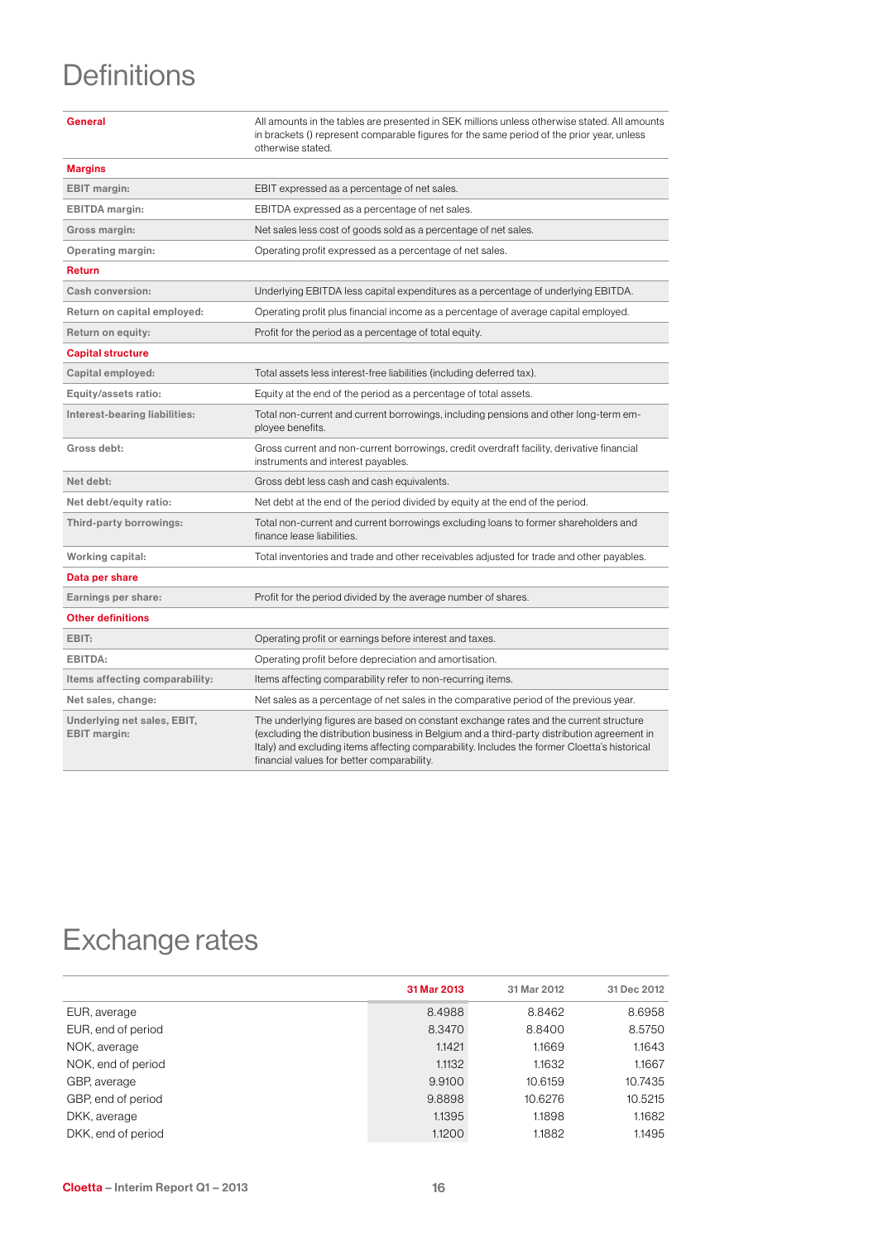# **Definitions**

|                                                    | in brackets () represent comparable figures for the same period of the prior year, unless<br>otherwise stated.                                                                                                                                                                                                                     |
|----------------------------------------------------|------------------------------------------------------------------------------------------------------------------------------------------------------------------------------------------------------------------------------------------------------------------------------------------------------------------------------------|
| <b>Margins</b>                                     |                                                                                                                                                                                                                                                                                                                                    |
| <b>EBIT</b> margin:                                | EBIT expressed as a percentage of net sales.                                                                                                                                                                                                                                                                                       |
| <b>EBITDA</b> margin:                              | EBITDA expressed as a percentage of net sales.                                                                                                                                                                                                                                                                                     |
| Gross margin:                                      | Net sales less cost of goods sold as a percentage of net sales.                                                                                                                                                                                                                                                                    |
| <b>Operating margin:</b>                           | Operating profit expressed as a percentage of net sales.                                                                                                                                                                                                                                                                           |
| <b>Return</b>                                      |                                                                                                                                                                                                                                                                                                                                    |
| Cash conversion:                                   | Underlying EBITDA less capital expenditures as a percentage of underlying EBITDA.                                                                                                                                                                                                                                                  |
| Return on capital employed:                        | Operating profit plus financial income as a percentage of average capital employed.                                                                                                                                                                                                                                                |
| Return on equity:                                  | Profit for the period as a percentage of total equity.                                                                                                                                                                                                                                                                             |
| <b>Capital structure</b>                           |                                                                                                                                                                                                                                                                                                                                    |
| Capital employed:                                  | Total assets less interest-free liabilities (including deferred tax).                                                                                                                                                                                                                                                              |
| Equity/assets ratio:                               | Equity at the end of the period as a percentage of total assets.                                                                                                                                                                                                                                                                   |
| Interest-bearing liabilities:                      | Total non-current and current borrowings, including pensions and other long-term em-<br>ployee benefits.                                                                                                                                                                                                                           |
| Gross debt:                                        | Gross current and non-current borrowings, credit overdraft facility, derivative financial<br>instruments and interest payables.                                                                                                                                                                                                    |
| Net debt:                                          | Gross debt less cash and cash equivalents.                                                                                                                                                                                                                                                                                         |
| Net debt/equity ratio:                             | Net debt at the end of the period divided by equity at the end of the period.                                                                                                                                                                                                                                                      |
| Third-party borrowings:                            | Total non-current and current borrowings excluding loans to former shareholders and<br>finance lease liabilities.                                                                                                                                                                                                                  |
| Working capital:                                   | Total inventories and trade and other receivables adjusted for trade and other payables.                                                                                                                                                                                                                                           |
| Data per share                                     |                                                                                                                                                                                                                                                                                                                                    |
| Earnings per share:                                | Profit for the period divided by the average number of shares.                                                                                                                                                                                                                                                                     |
| <b>Other definitions</b>                           |                                                                                                                                                                                                                                                                                                                                    |
| EBIT:                                              | Operating profit or earnings before interest and taxes.                                                                                                                                                                                                                                                                            |
| EBITDA:                                            | Operating profit before depreciation and amortisation.                                                                                                                                                                                                                                                                             |
| Items affecting comparability:                     | Items affecting comparability refer to non-recurring items.                                                                                                                                                                                                                                                                        |
| Net sales, change:                                 | Net sales as a percentage of net sales in the comparative period of the previous year.                                                                                                                                                                                                                                             |
| Underlying net sales, EBIT,<br><b>EBIT</b> margin: | The underlying figures are based on constant exchange rates and the current structure<br>(excluding the distribution business in Belgium and a third-party distribution agreement in<br>Italy) and excluding items affecting comparability. Includes the former Cloetta's historical<br>financial values for better comparability. |

General All amounts in the tables are presented in SEK millions unless otherwise stated. All amounts

# Exchange rates

|                    | 31 Mar 2013 | 31 Mar 2012 | 31 Dec 2012 |
|--------------------|-------------|-------------|-------------|
| EUR, average       | 8.4988      | 8.8462      | 8.6958      |
| EUR, end of period | 8.3470      | 8.8400      | 8.5750      |
| NOK, average       | 1.1421      | 1.1669      | 1.1643      |
| NOK, end of period | 1.1132      | 1.1632      | 1.1667      |
| GBP, average       | 9.9100      | 10.6159     | 10.7435     |
| GBP, end of period | 9.8898      | 10.6276     | 10.5215     |
| DKK, average       | 1.1395      | 1.1898      | 1.1682      |
| DKK, end of period | 1.1200      | 1.1882      | 1.1495      |